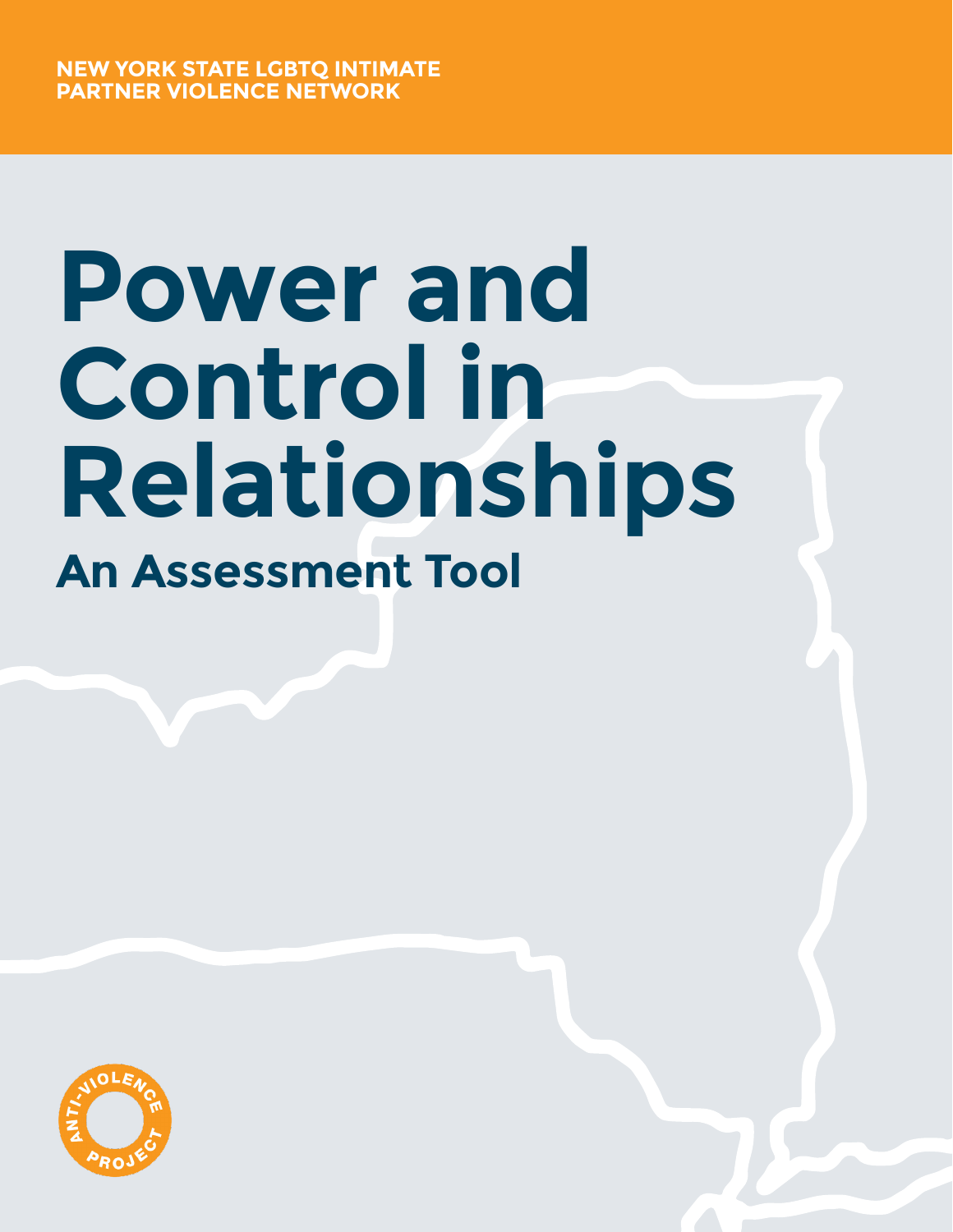# **Power and Control in Relationships An Assessment Tool**

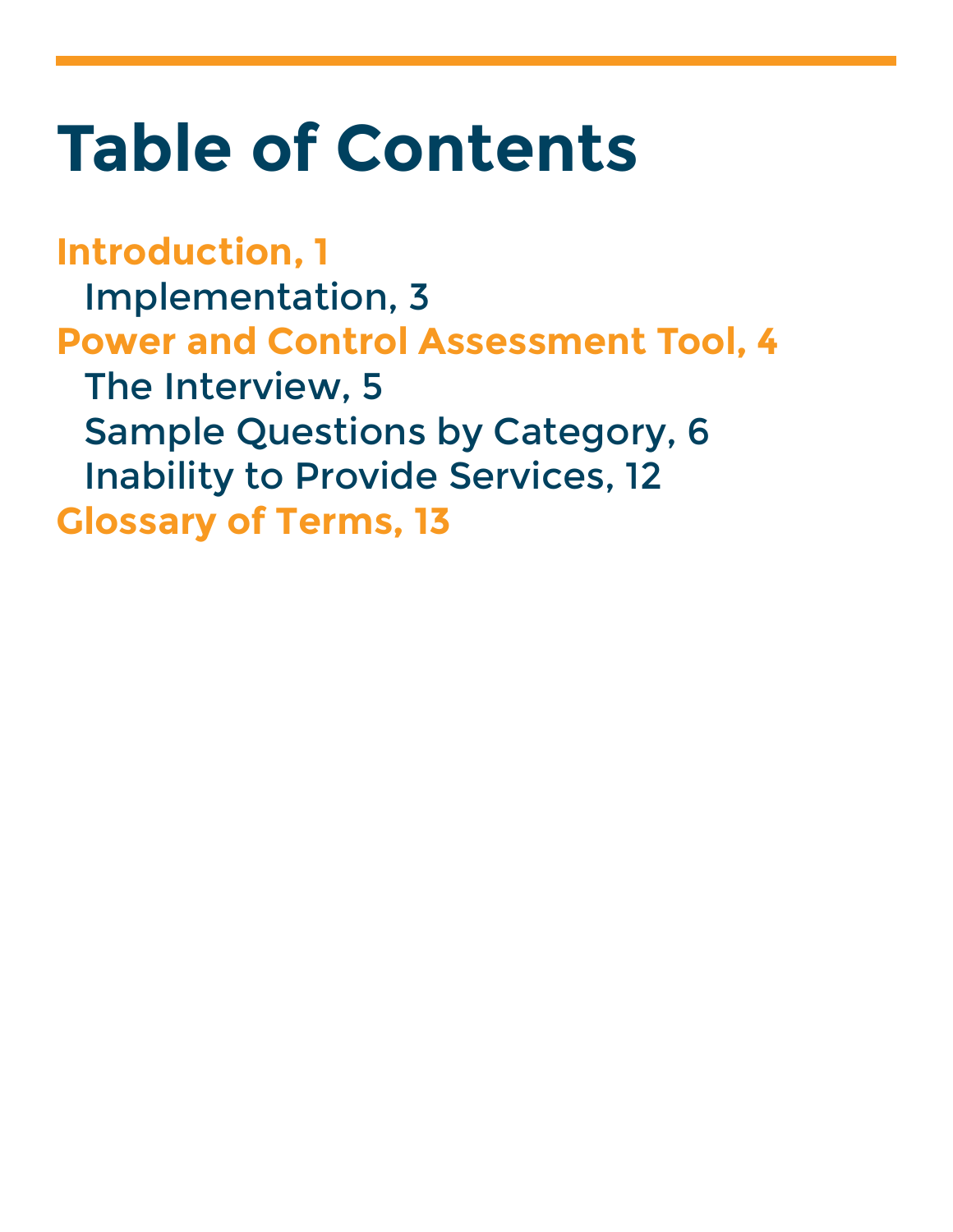## **Table of Contents**

**Introduction, 1** Implementation, 3 **Power and Control Assessment Tool, 4** The Interview, 5 Sample Questions by Category, 6 Inability to Provide Services, 12 **Glossary of Terms, 13**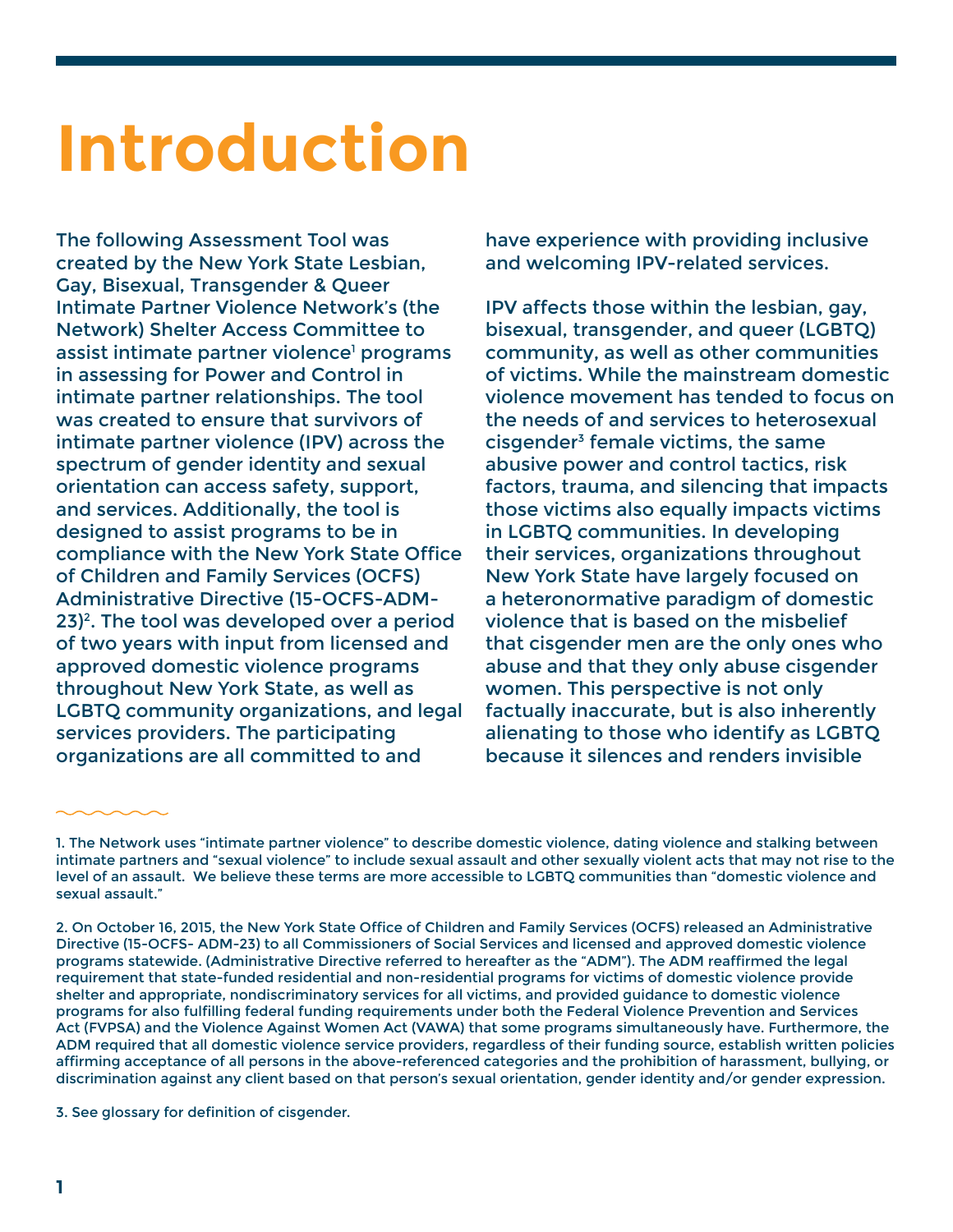## **Introduction**

The following Assessment Tool was created by the New York State Lesbian, Gay, Bisexual, Transgender & Queer Intimate Partner Violence Network's (the Network) Shelter Access Committee to assist intimate partner violence<sup>1</sup> programs in assessing for Power and Control in intimate partner relationships. The tool was created to ensure that survivors of intimate partner violence (IPV) across the spectrum of gender identity and sexual orientation can access safety, support, and services. Additionally, the tool is designed to assist programs to be in compliance with the New York State Office of Children and Family Services (OCFS) Administrative Directive (15-OCFS-ADM-23)2. The tool was developed over a period of two years with input from licensed and approved domestic violence programs throughout New York State, as well as LGBTQ community organizations, and legal services providers. The participating organizations are all committed to and

have experience with providing inclusive and welcoming IPV-related services.

IPV affects those within the lesbian, gay, bisexual, transgender, and queer (LGBTQ) community, as well as other communities of victims. While the mainstream domestic violence movement has tended to focus on the needs of and services to heterosexual cisgender3 female victims, the same abusive power and control tactics, risk factors, trauma, and silencing that impacts those victims also equally impacts victims in LGBTQ communities. In developing their services, organizations throughout New York State have largely focused on a heteronormative paradigm of domestic violence that is based on the misbelief that cisgender men are the only ones who abuse and that they only abuse cisgender women. This perspective is not only factually inaccurate, but is also inherently alienating to those who identify as LGBTQ because it silences and renders invisible

3. See glossary for definition of cisgender.

<sup>1.</sup> The Network uses "intimate partner violence" to describe domestic violence, dating violence and stalking between intimate partners and "sexual violence" to include sexual assault and other sexually violent acts that may not rise to the level of an assault. We believe these terms are more accessible to LGBTQ communities than "domestic violence and sexual assault."

<sup>2.</sup> On October 16, 2015, the New York State Office of Children and Family Services (OCFS) released an Administrative Directive (15-OCFS- ADM-23) to all Commissioners of Social Services and licensed and approved domestic violence programs statewide. (Administrative Directive referred to hereafter as the "ADM"). The ADM reaffirmed the legal requirement that state-funded residential and non-residential programs for victims of domestic violence provide shelter and appropriate, nondiscriminatory services for all victims, and provided guidance to domestic violence programs for also fulfilling federal funding requirements under both the Federal Violence Prevention and Services Act (FVPSA) and the Violence Against Women Act (VAWA) that some programs simultaneously have. Furthermore, the ADM required that all domestic violence service providers, regardless of their funding source, establish written policies affirming acceptance of all persons in the above-referenced categories and the prohibition of harassment, bullying, or discrimination against any client based on that person's sexual orientation, gender identity and/or gender expression.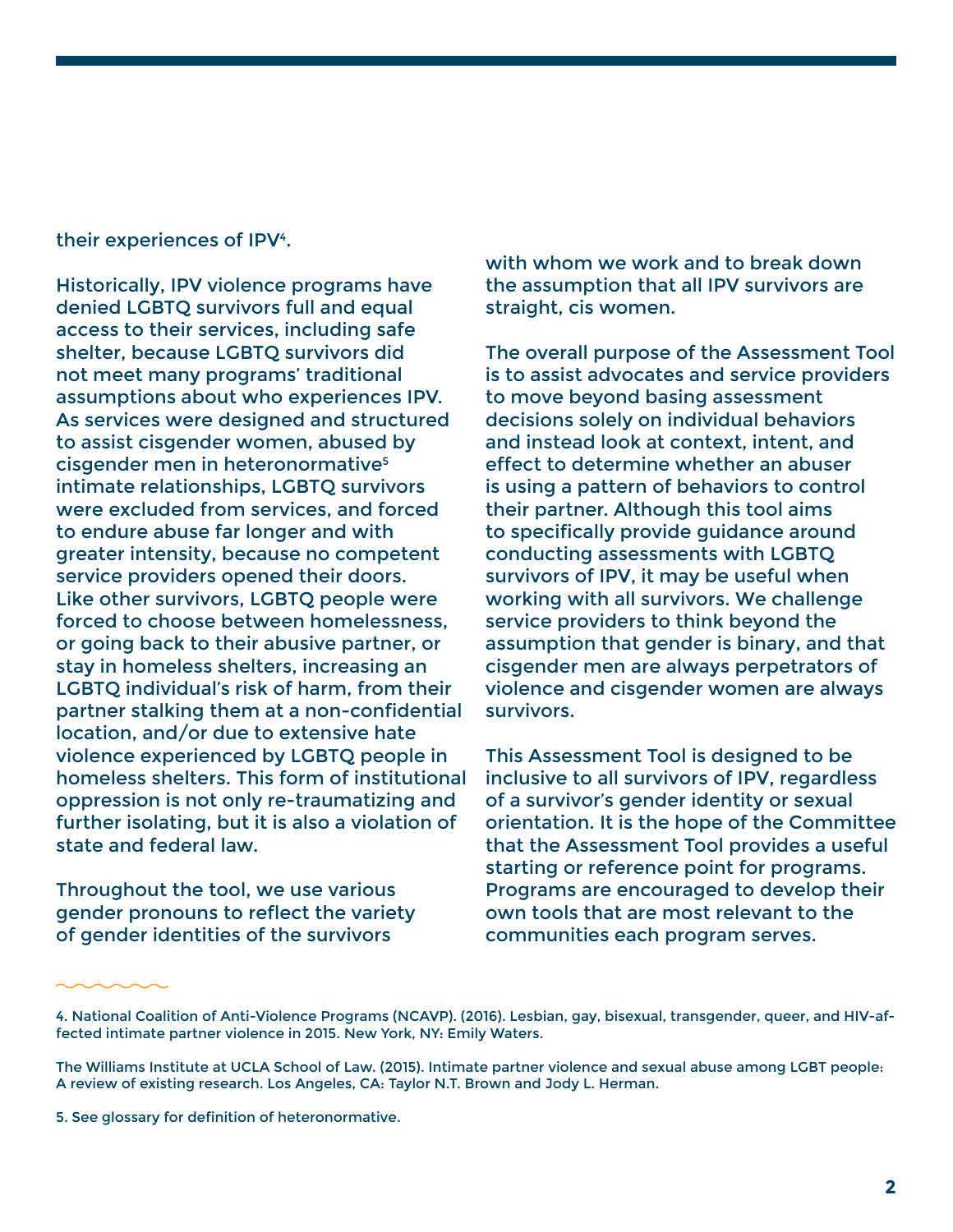#### their experiences of IPV4.

Historically, IPV violence programs have denied LGBTQ survivors full and equal access to their services, including safe shelter, because LGBTQ survivors did not meet many programs' traditional assumptions about who experiences IPV. As services were designed and structured to assist cisgender women, abused by cisgender men in heteronormative<sup>5</sup> intimate relationships, LGBTQ survivors were excluded from services, and forced to endure abuse far longer and with greater intensity, because no competent service providers opened their doors. Like other survivors, LGBTQ people were forced to choose between homelessness, or going back to their abusive partner, or stay in homeless shelters, increasing an LGBTQ individual's risk of harm, from their partner stalking them at a non-confidential location, and/or due to extensive hate violence experienced by LGBTQ people in homeless shelters. This form of institutional oppression is not only re-traumatizing and further isolating, but it is also a violation of state and federal law.

Throughout the tool, we use various gender pronouns to reflect the variety of gender identities of the survivors

with whom we work and to break down the assumption that all IPV survivors are straight, cis women.

The overall purpose of the Assessment Tool is to assist advocates and service providers to move beyond basing assessment decisions solely on individual behaviors and instead look at context, intent, and effect to determine whether an abuser is using a pattern of behaviors to control their partner. Although this tool aims to specifically provide guidance around conducting assessments with LGBTQ survivors of IPV, it may be useful when working with all survivors. We challenge service providers to think beyond the assumption that gender is binary, and that cisgender men are always perpetrators of violence and cisgender women are always survivors.

This Assessment Tool is designed to be inclusive to all survivors of IPV, regardless of a survivor's gender identity or sexual orientation. It is the hope of the Committee that the Assessment Tool provides a useful starting or reference point for programs. Programs are encouraged to develop their own tools that are most relevant to the communities each program serves.

<sup>4.</sup> National Coalition of Anti-Violence Programs (NCAVP). (2016). Lesbian, gay, bisexual, transgender, queer, and HIV-affected intimate partner violence in 2015. New York, NY: Emily Waters.

The Williams Institute at UCLA School of Law. (2015). Intimate partner violence and sexual abuse among LGBT people: A review of existing research. Los Angeles, CA: Taylor N.T. Brown and Jody L. Herman.

<sup>5.</sup> See glossary for definition of heteronormative.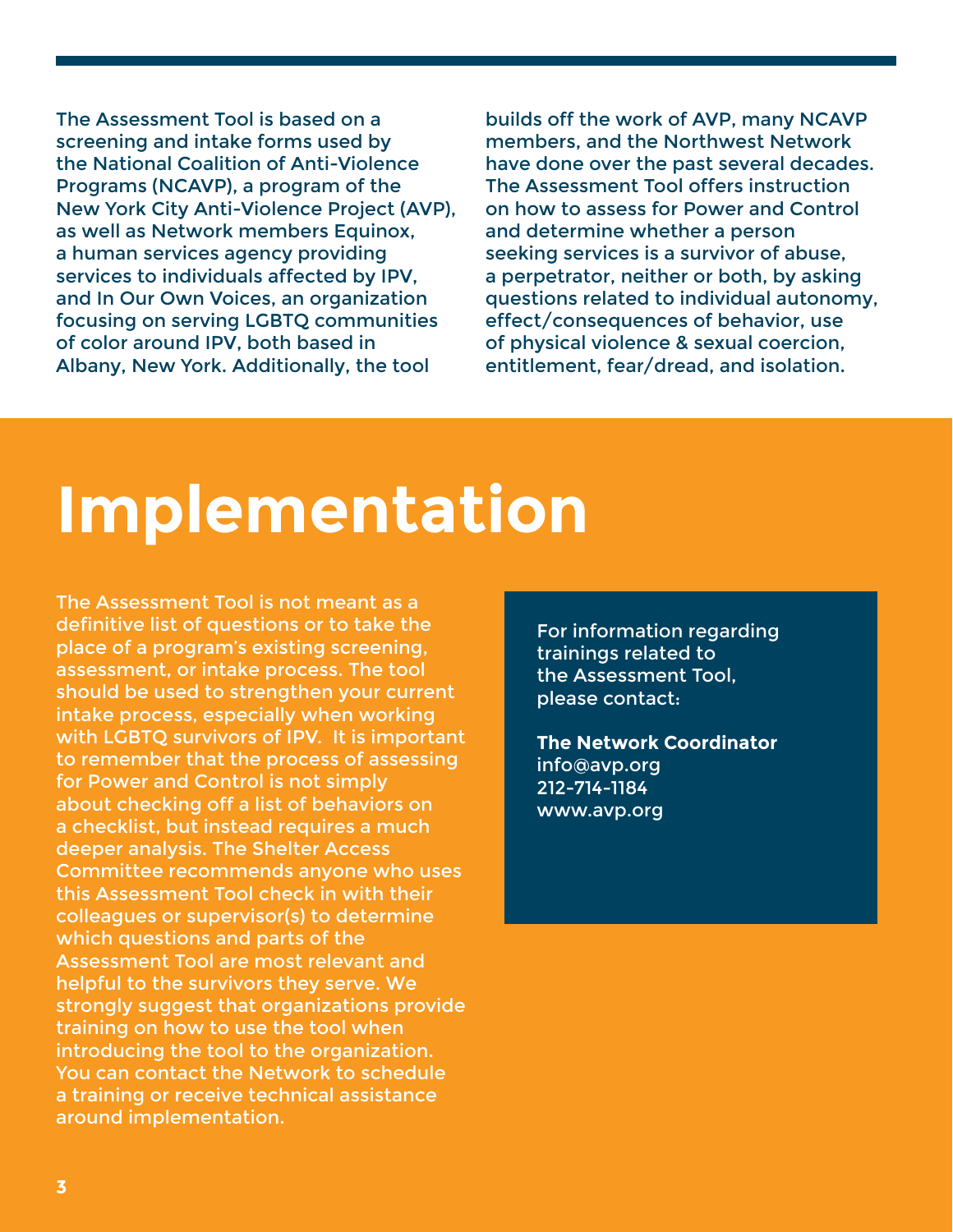The Assessment Tool is based on a screening and intake forms used by the National Coalition of Anti-Violence Programs (NCAVP), a program of the New York City Anti-Violence Project (AVP), as well as Network members Equinox, a human services agency providing services to individuals affected by IPV, and In Our Own Voices, an organization focusing on serving LGBTQ communities of color around IPV, both based in Albany, New York. Additionally, the tool

builds off the work of AVP, many NCAVP members, and the Northwest Network have done over the past several decades. The Assessment Tool offers instruction on how to assess for Power and Control and determine whether a person seeking services is a survivor of abuse, a perpetrator, neither or both, by asking questions related to individual autonomy, effect/consequences of behavior, use of physical violence & sexual coercion, entitlement, fear/dread, and isolation.

## **Implementation**

The Assessment Tool is not meant as a definitive list of questions or to take the place of a program's existing screening, assessment, or intake process. The tool should be used to strengthen your current intake process, especially when working with LGBTQ survivors of IPV. It is important to remember that the process of assessing for Power and Control is not simply about checking off a list of behaviors on a checklist, but instead requires a much deeper analysis. The Shelter Access Committee recommends anyone who uses this Assessment Tool check in with their colleagues or supervisor(s) to determine which questions and parts of the Assessment Tool are most relevant and helpful to the survivors they serve. We strongly suggest that organizations provide training on how to use the tool when introducing the tool to the organization. You can contact the Network to schedule a training or receive technical assistance around implementation.

For information regarding trainings related to the Assessment Tool, please contact:

**The Network Coordinator** info@avp.org 212-714-1184 www.avp.org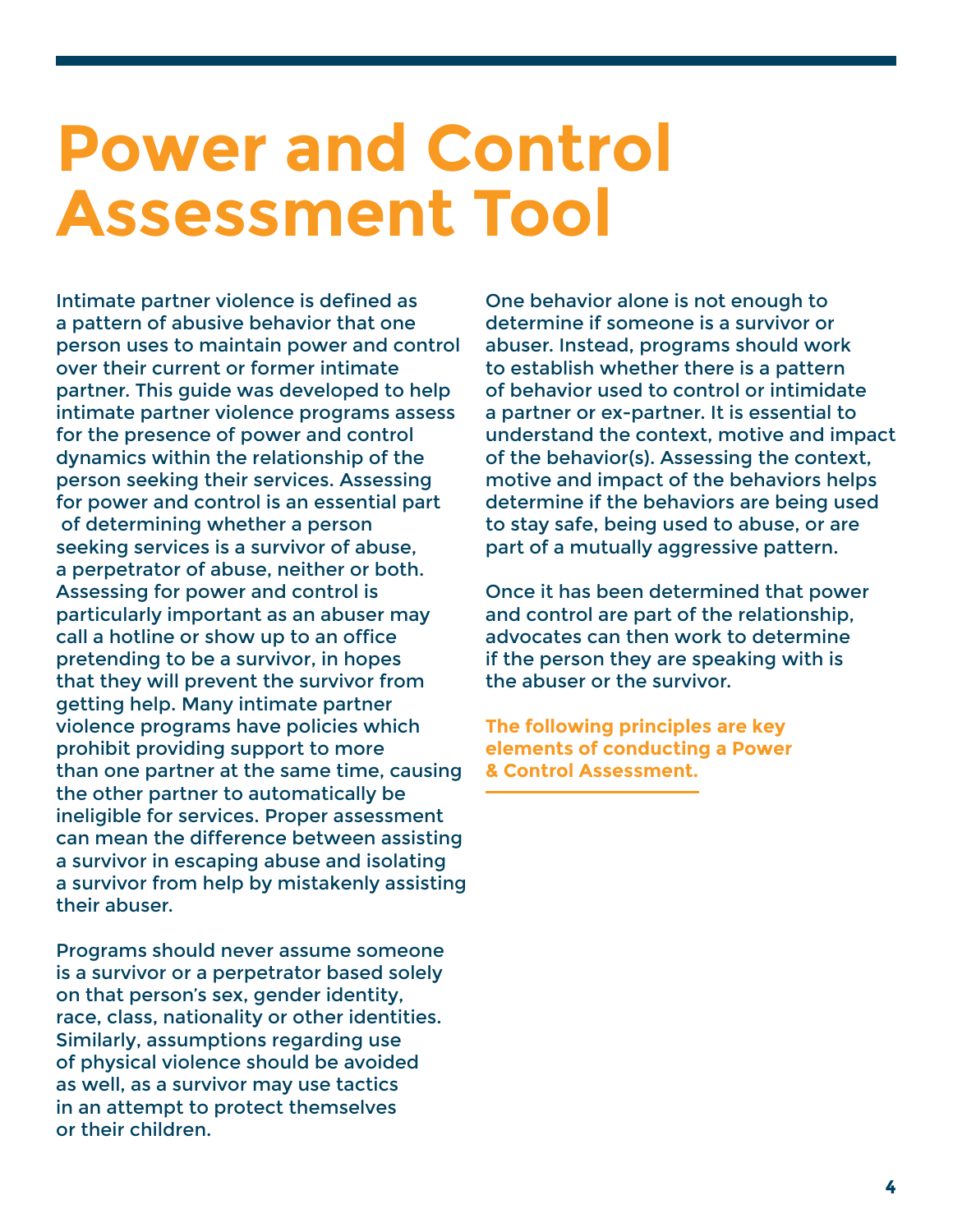## **Power and Control Assessment Tool**

Intimate partner violence is defined as a pattern of abusive behavior that one person uses to maintain power and control over their current or former intimate partner. This guide was developed to help intimate partner violence programs assess for the presence of power and control dynamics within the relationship of the person seeking their services. Assessing for power and control is an essential part of determining whether a person seeking services is a survivor of abuse, a perpetrator of abuse, neither or both. Assessing for power and control is particularly important as an abuser may call a hotline or show up to an office pretending to be a survivor, in hopes that they will prevent the survivor from getting help. Many intimate partner violence programs have policies which prohibit providing support to more than one partner at the same time, causing the other partner to automatically be ineligible for services. Proper assessment can mean the difference between assisting a survivor in escaping abuse and isolating a survivor from help by mistakenly assisting their abuser.

Programs should never assume someone is a survivor or a perpetrator based solely on that person's sex, gender identity, race, class, nationality or other identities. Similarly, assumptions regarding use of physical violence should be avoided as well, as a survivor may use tactics in an attempt to protect themselves or their children.

One behavior alone is not enough to determine if someone is a survivor or abuser. Instead, programs should work to establish whether there is a pattern of behavior used to control or intimidate a partner or ex-partner. It is essential to understand the context, motive and impact of the behavior(s). Assessing the context, motive and impact of the behaviors helps determine if the behaviors are being used to stay safe, being used to abuse, or are part of a mutually aggressive pattern.

Once it has been determined that power and control are part of the relationship, advocates can then work to determine if the person they are speaking with is the abuser or the survivor.

**The following principles are key elements of conducting a Power & Control Assessment.**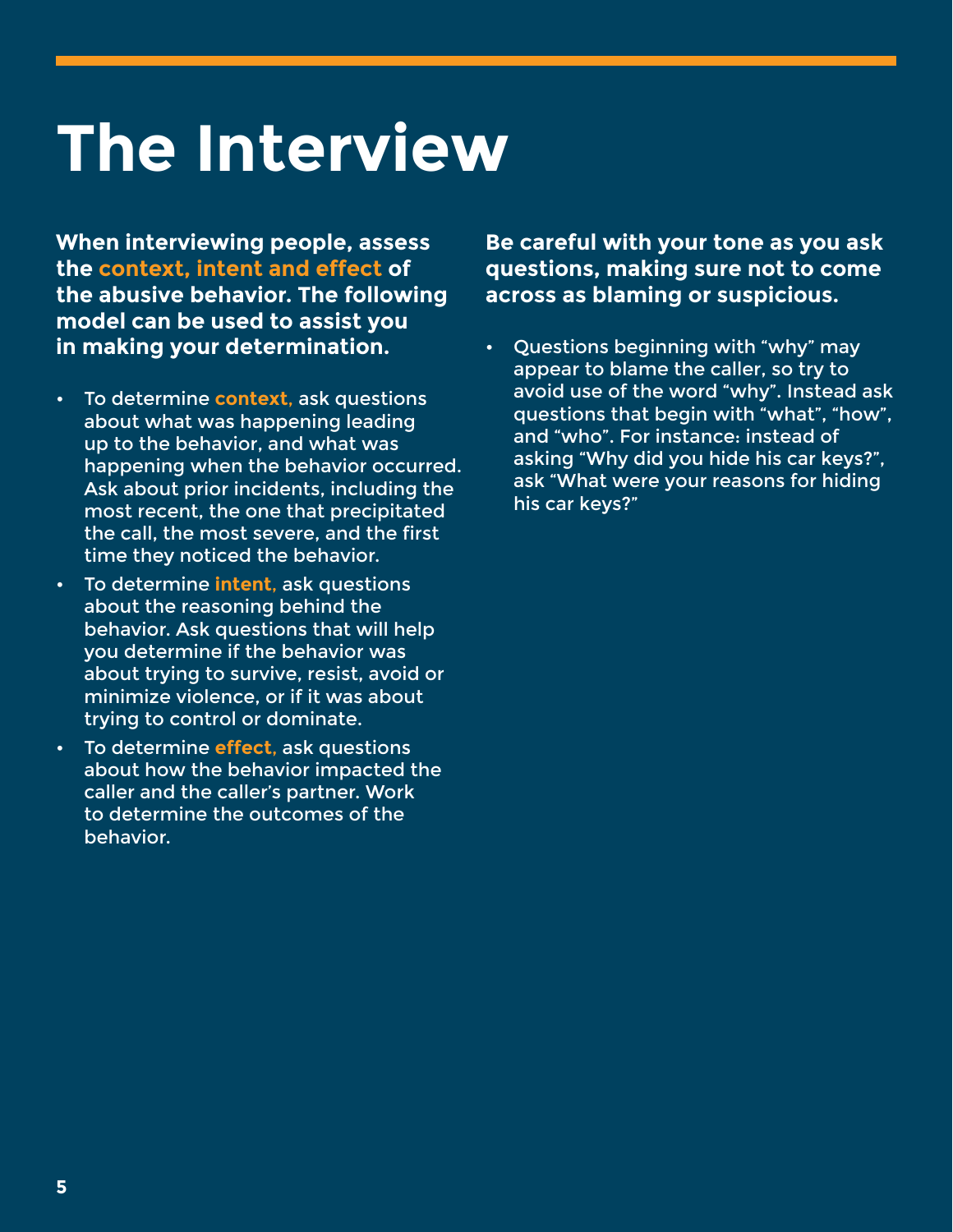## **The Interview**

**When interviewing people, assess the context, intent and effect of the abusive behavior. The following model can be used to assist you in making your determination.**

- To determine **context**, ask questions about what was happening leading up to the behavior, and what was happening when the behavior occurred. Ask about prior incidents, including the most recent, the one that precipitated the call, the most severe, and the first time they noticed the behavior.
- To determine **intent**, ask questions about the reasoning behind the behavior. Ask questions that will help you determine if the behavior was about trying to survive, resist, avoid or minimize violence, or if it was about trying to control or dominate.
- To determine **effect**, ask questions about how the behavior impacted the caller and the caller's partner. Work to determine the outcomes of the behavior.

**Be careful with your tone as you ask questions, making sure not to come across as blaming or suspicious.**

• Questions beginning with "why" may appear to blame the caller, so try to avoid use of the word "why". Instead ask questions that begin with "what", "how", and "who". For instance: instead of asking "Why did you hide his car keys?", ask "What were your reasons for hiding his car keys?"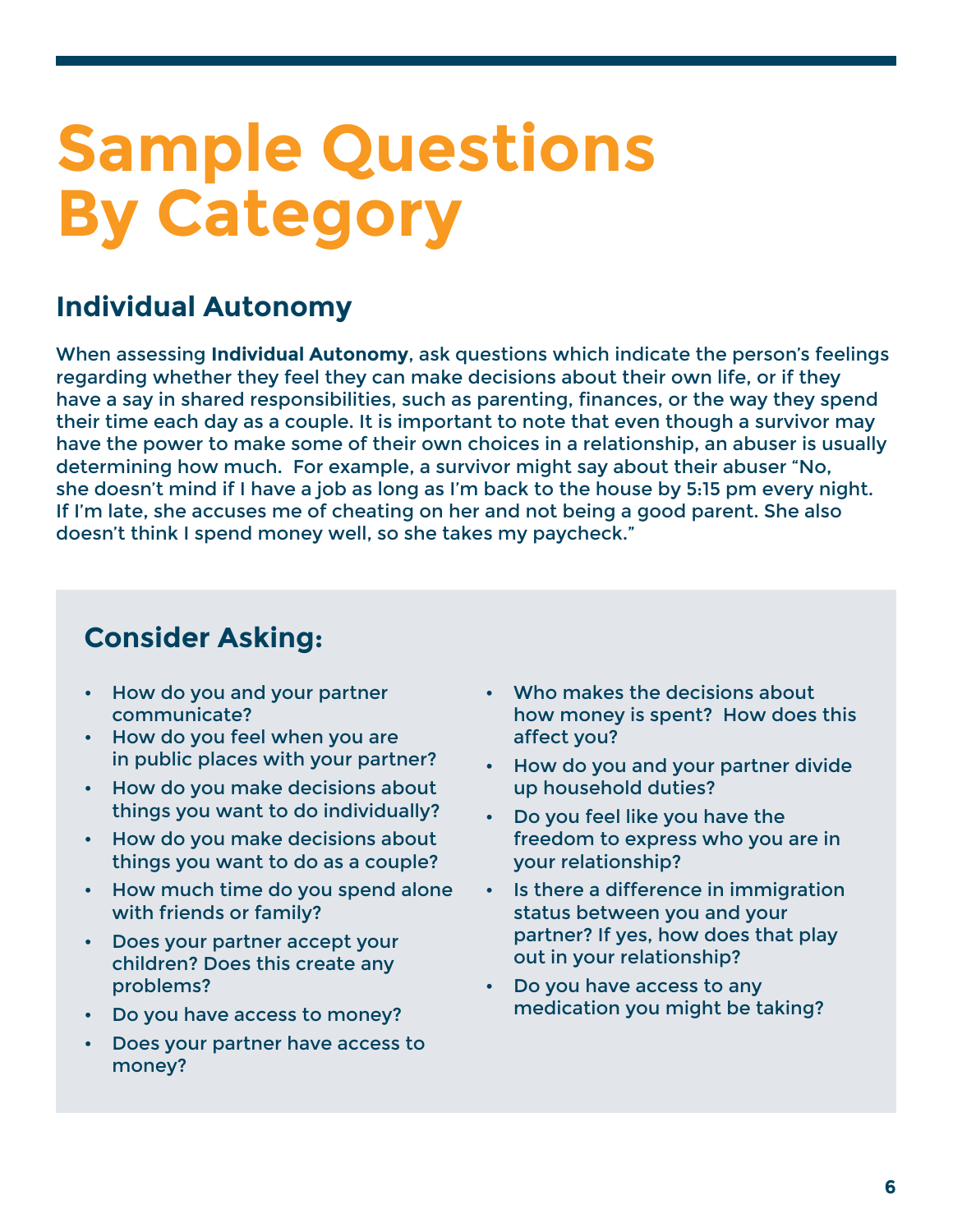## **Sample Questions By Category**

## **Individual Autonomy**

When assessing **Individual Autonomy**, ask questions which indicate the person's feelings regarding whether they feel they can make decisions about their own life, or if they have a say in shared responsibilities, such as parenting, finances, or the way they spend their time each day as a couple. It is important to note that even though a survivor may have the power to make some of their own choices in a relationship, an abuser is usually determining how much. For example, a survivor might say about their abuser "No, she doesn't mind if I have a job as long as I'm back to the house by 5:15 pm every night. If I'm late, she accuses me of cheating on her and not being a good parent. She also doesn't think I spend money well, so she takes my paycheck."

- How do you and your partner communicate?
- How do you feel when you are in public places with your partner?
- How do you make decisions about things you want to do individually?
- How do you make decisions about things you want to do as a couple?
- How much time do you spend alone with friends or family?
- Does your partner accept your children? Does this create any problems?
- Do you have access to money?
- Does your partner have access to money?
- Who makes the decisions about how money is spent? How does this affect you?
- How do you and your partner divide up household duties?
- Do you feel like you have the freedom to express who you are in your relationship?
- Is there a difference in immigration status between you and your partner? If yes, how does that play out in your relationship?
- Do you have access to any medication you might be taking?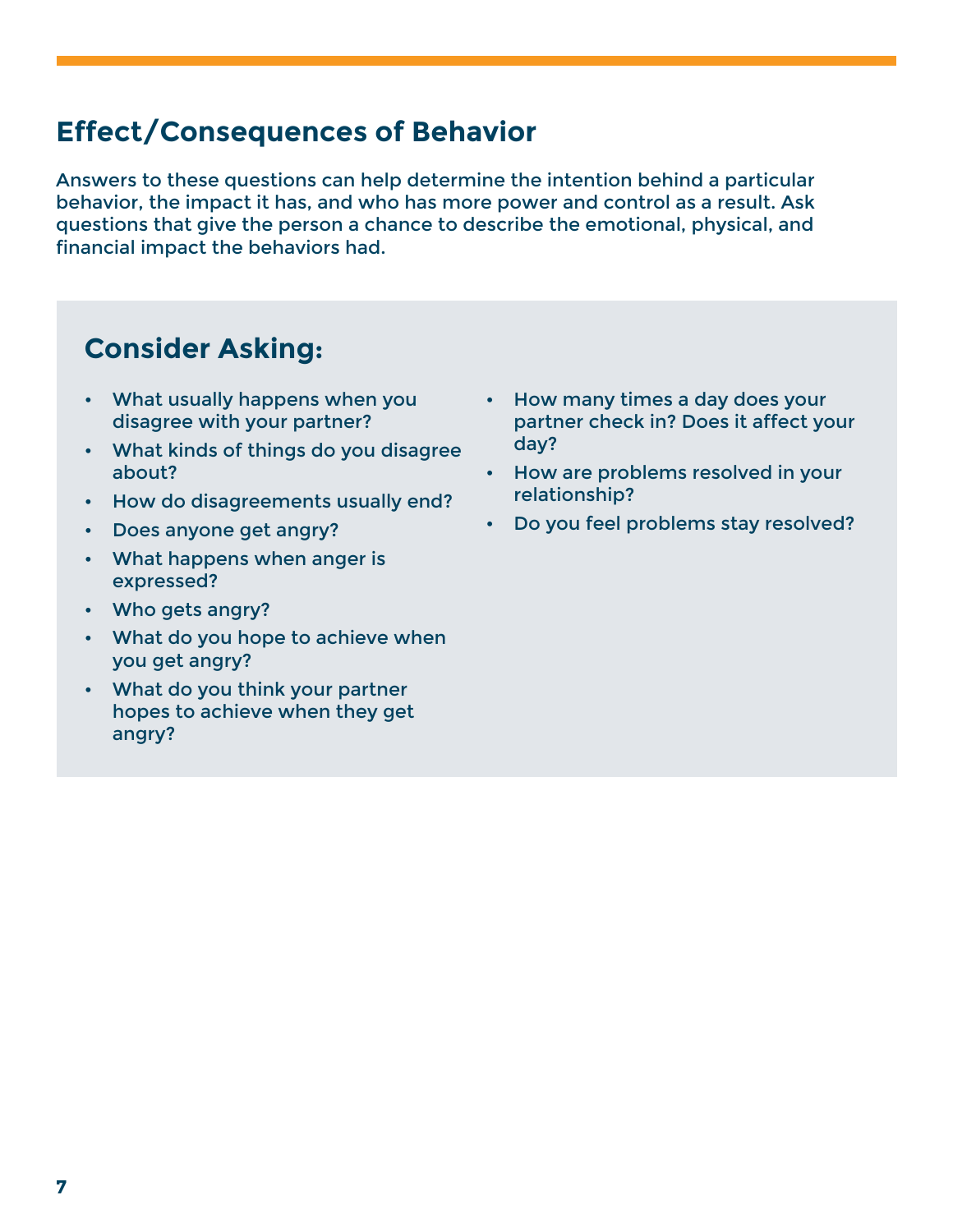### **Effect/Consequences of Behavior**

Answers to these questions can help determine the intention behind a particular behavior, the impact it has, and who has more power and control as a result. Ask questions that give the person a chance to describe the emotional, physical, and financial impact the behaviors had.

- What usually happens when you disagree with your partner?
- What kinds of things do you disagree about?
- How do disagreements usually end?
- Does anyone get angry?
- What happens when anger is expressed?
- Who gets angry?
- What do you hope to achieve when you get angry?
- What do you think your partner hopes to achieve when they get angry?
- How many times a day does your partner check in? Does it affect your day?
- How are problems resolved in your relationship?
- Do you feel problems stay resolved?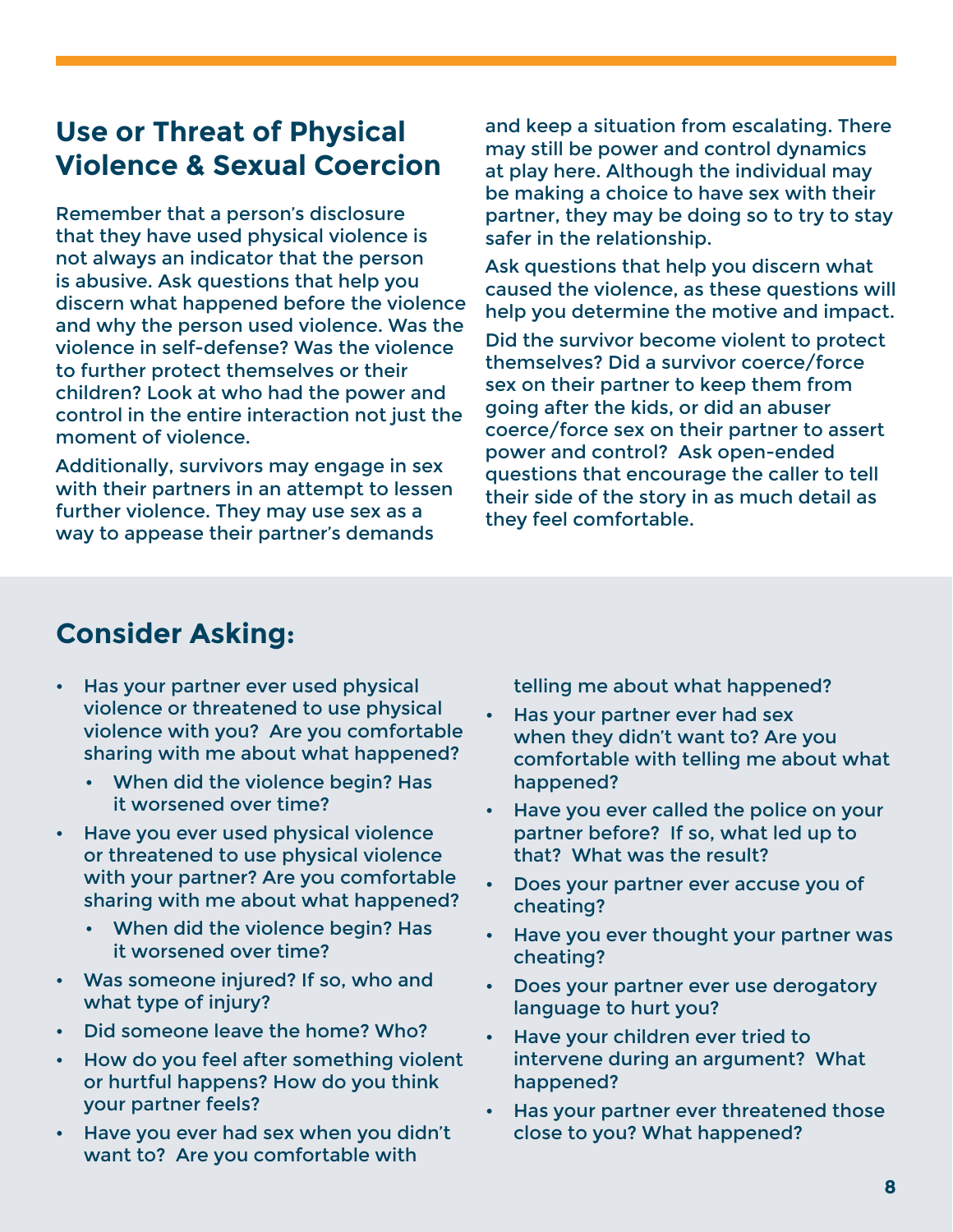#### **Use or Threat of Physical Violence & Sexual Coercion**

Remember that a person's disclosure that they have used physical violence is not always an indicator that the person is abusive. Ask questions that help you discern what happened before the violence and why the person used violence. Was the violence in self-defense? Was the violence to further protect themselves or their children? Look at who had the power and control in the entire interaction not just the moment of violence.

Additionally, survivors may engage in sex with their partners in an attempt to lessen further violence. They may use sex as a way to appease their partner's demands

and keep a situation from escalating. There may still be power and control dynamics at play here. Although the individual may be making a choice to have sex with their partner, they may be doing so to try to stay safer in the relationship.

Ask questions that help you discern what caused the violence, as these questions will help you determine the motive and impact.

Did the survivor become violent to protect themselves? Did a survivor coerce/force sex on their partner to keep them from going after the kids, or did an abuser coerce/force sex on their partner to assert power and control? Ask open-ended questions that encourage the caller to tell their side of the story in as much detail as they feel comfortable.

#### **Consider Asking:**

- Has your partner ever used physical violence or threatened to use physical violence with you? Are you comfortable sharing with me about what happened?
	- When did the violence begin? Has it worsened over time?
- Have you ever used physical violence or threatened to use physical violence with your partner? Are you comfortable sharing with me about what happened?
	- When did the violence begin? Has it worsened over time?
- Was someone injured? If so, who and what type of injury?
- Did someone leave the home? Who?
- How do you feel after something violent or hurtful happens? How do you think your partner feels?
- Have you ever had sex when you didn't want to? Are you comfortable with

telling me about what happened?

- Has your partner ever had sex when they didn't want to? Are you comfortable with telling me about what happened?
- Have you ever called the police on your partner before? If so, what led up to that? What was the result?
- Does your partner ever accuse you of cheating?
- Have you ever thought your partner was cheating?
- Does your partner ever use derogatory language to hurt you?
- Have your children ever tried to intervene during an argument? What happened?
- Has your partner ever threatened those close to you? What happened?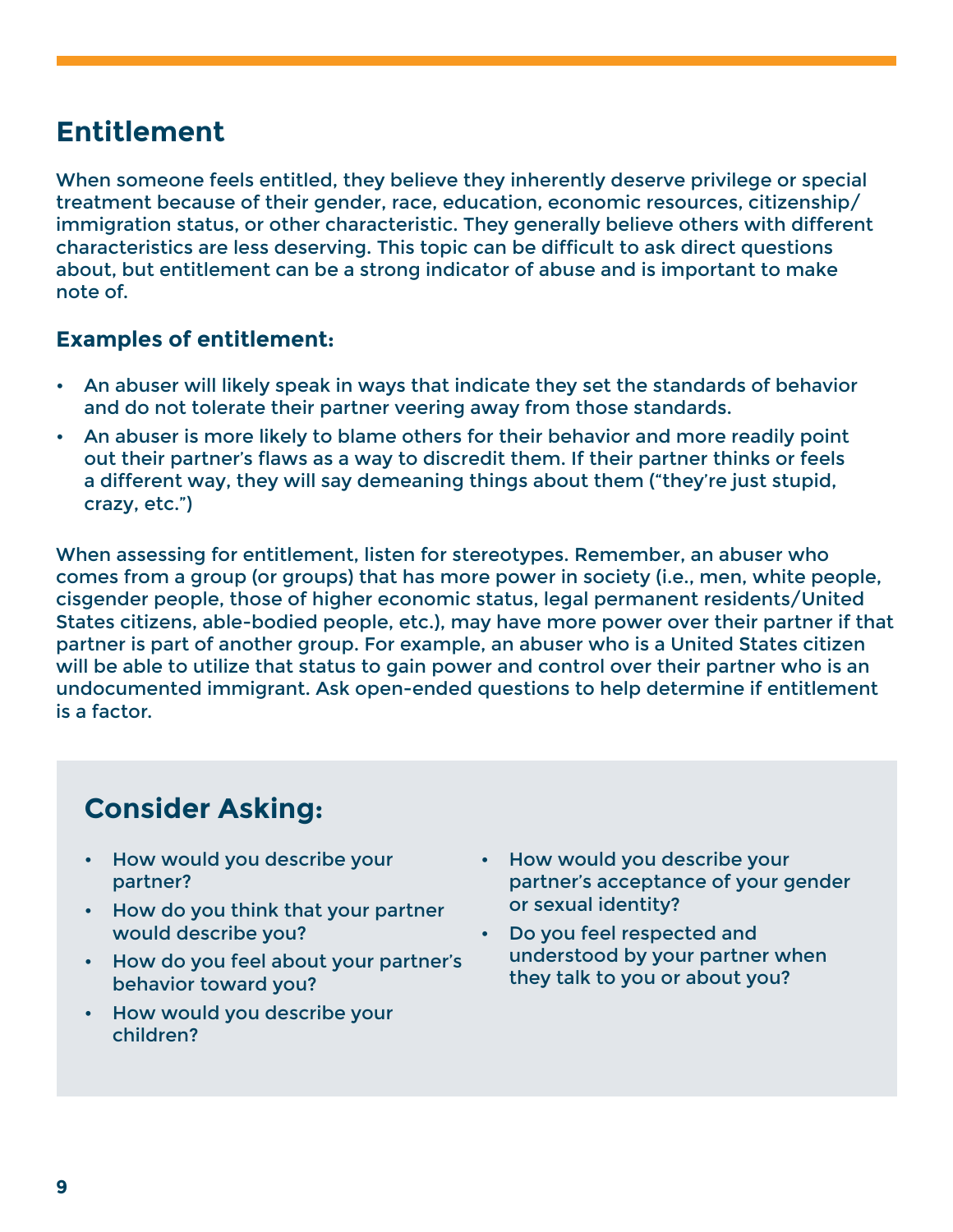### **Entitlement**

When someone feels entitled, they believe they inherently deserve privilege or special treatment because of their gender, race, education, economic resources, citizenship/ immigration status, or other characteristic. They generally believe others with different characteristics are less deserving. This topic can be difficult to ask direct questions about, but entitlement can be a strong indicator of abuse and is important to make note of.

#### **Examples of entitlement:**

- An abuser will likely speak in ways that indicate they set the standards of behavior and do not tolerate their partner veering away from those standards.
- An abuser is more likely to blame others for their behavior and more readily point out their partner's flaws as a way to discredit them. If their partner thinks or feels a different way, they will say demeaning things about them ("they're just stupid, crazy, etc.")

When assessing for entitlement, listen for stereotypes. Remember, an abuser who comes from a group (or groups) that has more power in society (i.e., men, white people, cisgender people, those of higher economic status, legal permanent residents/United States citizens, able-bodied people, etc.), may have more power over their partner if that partner is part of another group. For example, an abuser who is a United States citizen will be able to utilize that status to gain power and control over their partner who is an undocumented immigrant. Ask open-ended questions to help determine if entitlement is a factor.

- How would you describe your partner?
- How do you think that your partner would describe you?
- How do you feel about your partner's behavior toward you?
- How would you describe your children?
- How would you describe your partner's acceptance of your gender or sexual identity?
- Do you feel respected and understood by your partner when they talk to you or about you?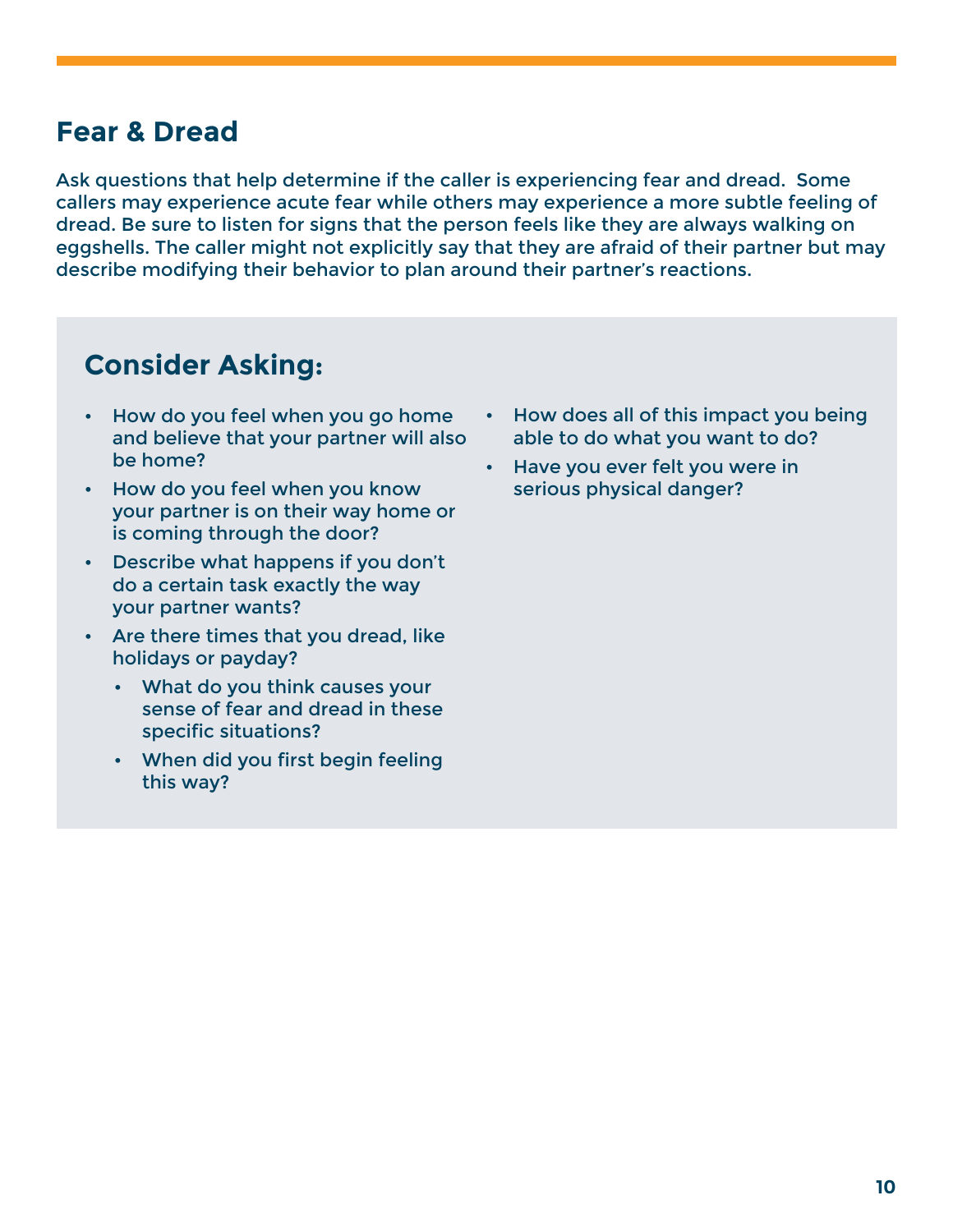### **Fear & Dread**

Ask questions that help determine if the caller is experiencing fear and dread. Some callers may experience acute fear while others may experience a more subtle feeling of dread. Be sure to listen for signs that the person feels like they are always walking on eggshells. The caller might not explicitly say that they are afraid of their partner but may describe modifying their behavior to plan around their partner's reactions.

- How do you feel when you go home and believe that your partner will also be home?
- How do you feel when you know your partner is on their way home or is coming through the door?
- Describe what happens if you don't do a certain task exactly the way your partner wants?
- Are there times that you dread, like holidays or payday?
	- What do you think causes your sense of fear and dread in these specific situations?
	- When did you first begin feeling this way?
- How does all of this impact you being able to do what you want to do?
- Have you ever felt you were in serious physical danger?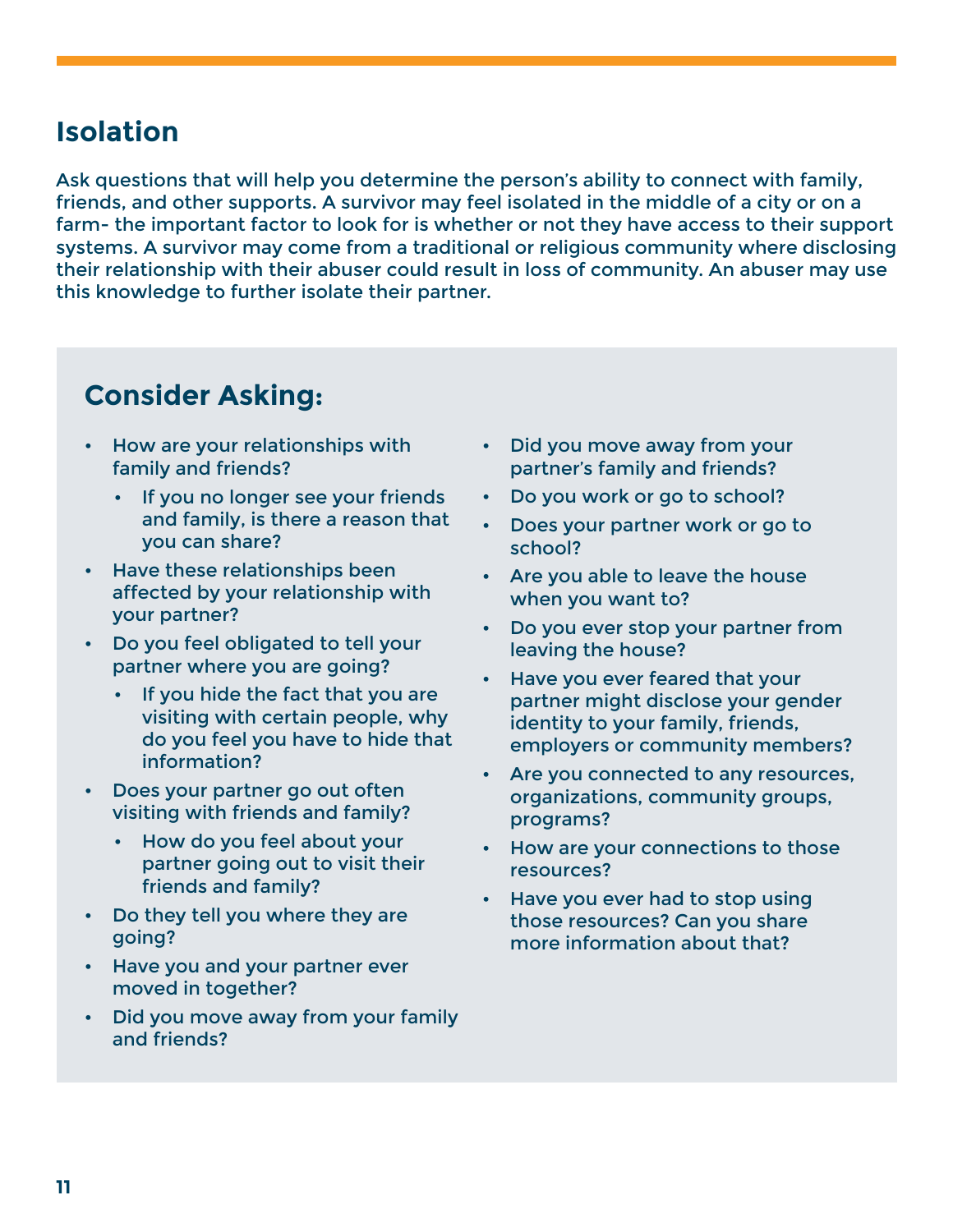### **Isolation**

Ask questions that will help you determine the person's ability to connect with family, friends, and other supports. A survivor may feel isolated in the middle of a city or on a farm- the important factor to look for is whether or not they have access to their support systems. A survivor may come from a traditional or religious community where disclosing their relationship with their abuser could result in loss of community. An abuser may use this knowledge to further isolate their partner.

- How are your relationships with family and friends?
	- If you no longer see your friends and family, is there a reason that you can share?
- Have these relationships been affected by your relationship with your partner?
- Do you feel obligated to tell your partner where you are going?
	- If you hide the fact that you are visiting with certain people, why do you feel you have to hide that information?
- Does your partner go out often visiting with friends and family?
	- How do you feel about your partner going out to visit their friends and family?
- Do they tell you where they are going?
- Have you and your partner ever moved in together?
- Did you move away from your family and friends?
- Did you move away from your partner's family and friends?
- Do you work or go to school?
- Does your partner work or go to school?
- Are you able to leave the house when you want to?
- Do you ever stop your partner from leaving the house?
- Have you ever feared that your partner might disclose your gender identity to your family, friends, employers or community members?
- Are you connected to any resources, organizations, community groups, programs?
- How are your connections to those resources?
- Have you ever had to stop using those resources? Can you share more information about that?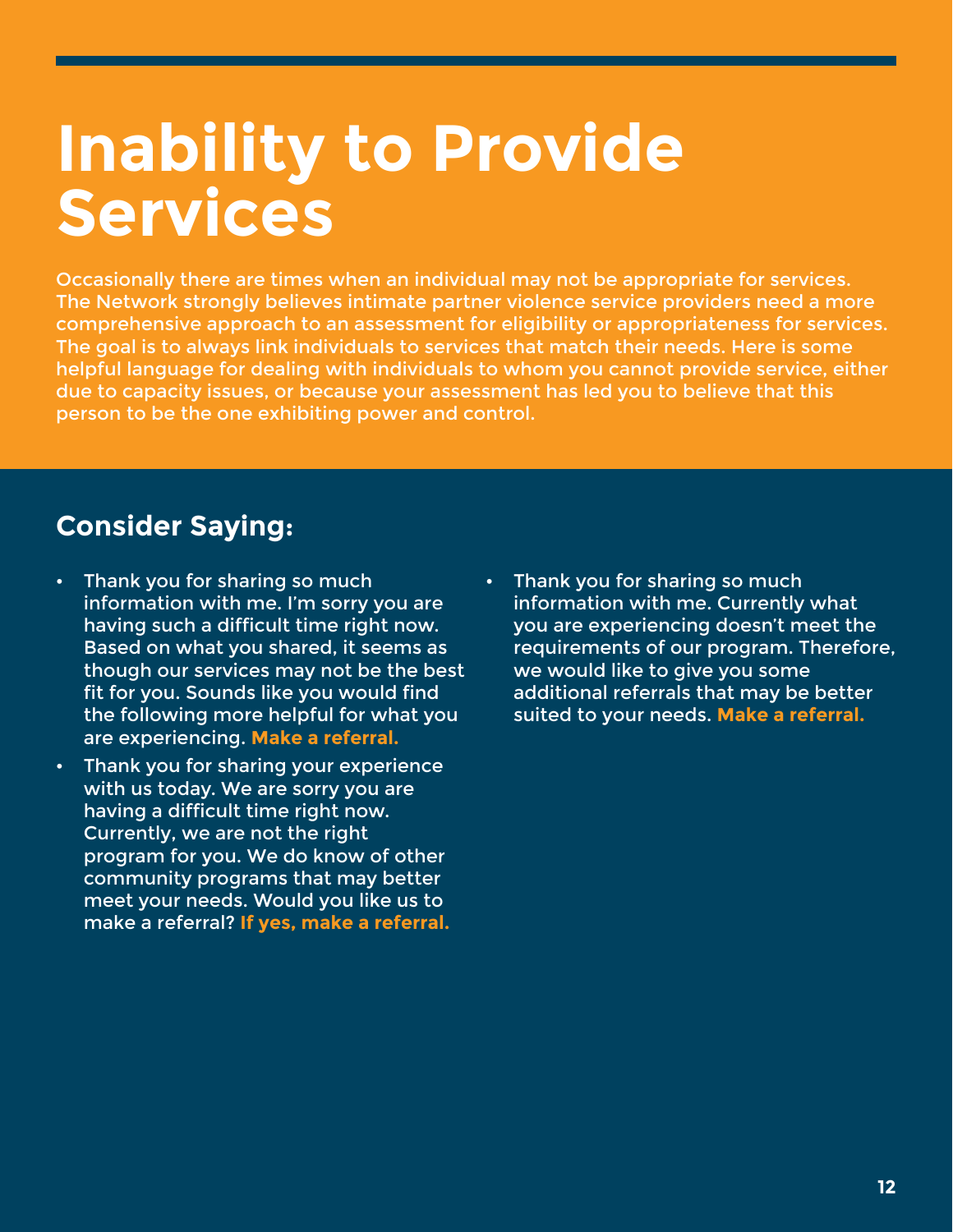## **Inability to Provide Services**

Occasionally there are times when an individual may not be appropriate for services. The Network strongly believes intimate partner violence service providers need a more comprehensive approach to an assessment for eligibility or appropriateness for services. The goal is to always link individuals to services that match their needs. Here is some helpful language for dealing with individuals to whom you cannot provide service, either due to capacity issues, or because your assessment has led you to believe that this person to be the one exhibiting power and control.

### **Consider Saying:**

- Thank you for sharing so much information with me. I'm sorry you are having such a difficult time right now. Based on what you shared, it seems as though our services may not be the best fit for you. Sounds like you would find the following more helpful for what you are experiencing. **Make a referral.**
- Thank you for sharing your experience with us today. We are sorry you are having a difficult time right now. Currently, we are not the right program for you. We do know of other community programs that may better meet your needs. Would you like us to make a referral? **If yes, make a referral.**
- Thank you for sharing so much information with me. Currently what you are experiencing doesn't meet the requirements of our program. Therefore, we would like to give you some additional referrals that may be better suited to your needs. **Make a referral.**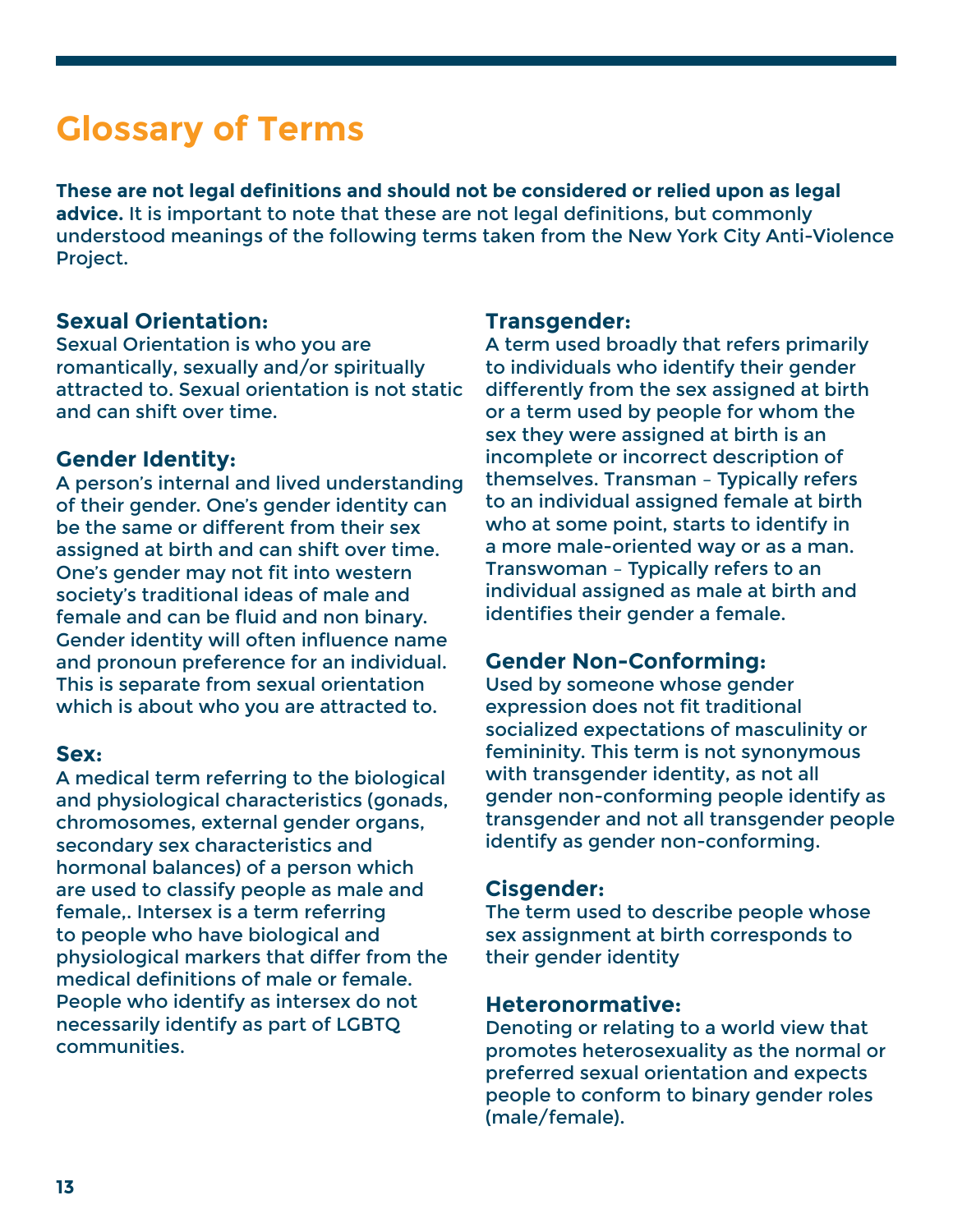## **Glossary of Terms**

**These are not legal definitions and should not be considered or relied upon as legal advice.** It is important to note that these are not legal definitions, but commonly understood meanings of the following terms taken from the New York City Anti-Violence Project.

#### **Sexual Orientation:**

Sexual Orientation is who you are romantically, sexually and/or spiritually attracted to. Sexual orientation is not static and can shift over time.

#### **Gender Identity:**

A person's internal and lived understanding of their gender. One's gender identity can be the same or different from their sex assigned at birth and can shift over time. One's gender may not fit into western society's traditional ideas of male and female and can be fluid and non binary. Gender identity will often influence name and pronoun preference for an individual. This is separate from sexual orientation which is about who you are attracted to.

#### **Sex:**

A medical term referring to the biological and physiological characteristics (gonads, chromosomes, external gender organs, secondary sex characteristics and hormonal balances) of a person which are used to classify people as male and female,. Intersex is a term referring to people who have biological and physiological markers that differ from the medical definitions of male or female. People who identify as intersex do not necessarily identify as part of LGBTQ communities.

#### **Transgender:**

A term used broadly that refers primarily to individuals who identify their gender differently from the sex assigned at birth or a term used by people for whom the sex they were assigned at birth is an incomplete or incorrect description of themselves. Transman – Typically refers to an individual assigned female at birth who at some point, starts to identify in a more male-oriented way or as a man. Transwoman – Typically refers to an individual assigned as male at birth and identifies their gender a female.

#### **Gender Non-Conforming:**

Used by someone whose gender expression does not fit traditional socialized expectations of masculinity or femininity. This term is not synonymous with transgender identity, as not all gender non-conforming people identify as transgender and not all transgender people identify as gender non-conforming.

#### **Cisgender:**

The term used to describe people whose sex assignment at birth corresponds to their gender identity

#### **Heteronormative:**

Denoting or relating to a world view that promotes heterosexuality as the normal or preferred sexual orientation and expects people to conform to binary gender roles (male/female).